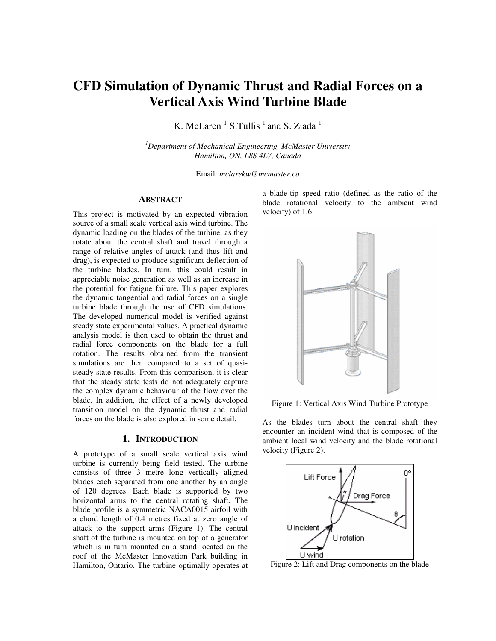# **CFD Simulation of Dynamic Thrust and Radial Forces on a Vertical Axis Wind Turbine Blade**

K. McLaren<sup> $1$ </sup> S.Tullis<sup>1</sup> and S. Ziada<sup>1</sup>

*<sup>1</sup>Department of Mechanical Engineering, McMaster University Hamilton, ON, L8S 4L7, Canada* 

Email: *mclarekw@mcmaster.ca* 

### **ABSTRACT**

This project is motivated by an expected vibration source of a small scale vertical axis wind turbine. The dynamic loading on the blades of the turbine, as they rotate about the central shaft and travel through a range of relative angles of attack (and thus lift and drag), is expected to produce significant deflection of the turbine blades. In turn, this could result in appreciable noise generation as well as an increase in the potential for fatigue failure. This paper explores the dynamic tangential and radial forces on a single turbine blade through the use of CFD simulations. The developed numerical model is verified against steady state experimental values. A practical dynamic analysis model is then used to obtain the thrust and radial force components on the blade for a full rotation. The results obtained from the transient simulations are then compared to a set of quasisteady state results. From this comparison, it is clear that the steady state tests do not adequately capture the complex dynamic behaviour of the flow over the blade. In addition, the effect of a newly developed transition model on the dynamic thrust and radial forces on the blade is also explored in some detail.

#### **1. INTRODUCTION**

A prototype of a small scale vertical axis wind turbine is currently being field tested. The turbine consists of three 3 metre long vertically aligned blades each separated from one another by an angle of 120 degrees. Each blade is supported by two horizontal arms to the central rotating shaft. The blade profile is a symmetric NACA0015 airfoil with a chord length of 0.4 metres fixed at zero angle of attack to the support arms (Figure 1). The central shaft of the turbine is mounted on top of a generator which is in turn mounted on a stand located on the roof of the McMaster Innovation Park building in Hamilton, Ontario. The turbine optimally operates at

a blade-tip speed ratio (defined as the ratio of the blade rotational velocity to the ambient wind velocity) of 1.6.



Figure 1: Vertical Axis Wind Turbine Prototype

As the blades turn about the central shaft they encounter an incident wind that is composed of the ambient local wind velocity and the blade rotational velocity (Figure 2).



Figure 2: Lift and Drag components on the blade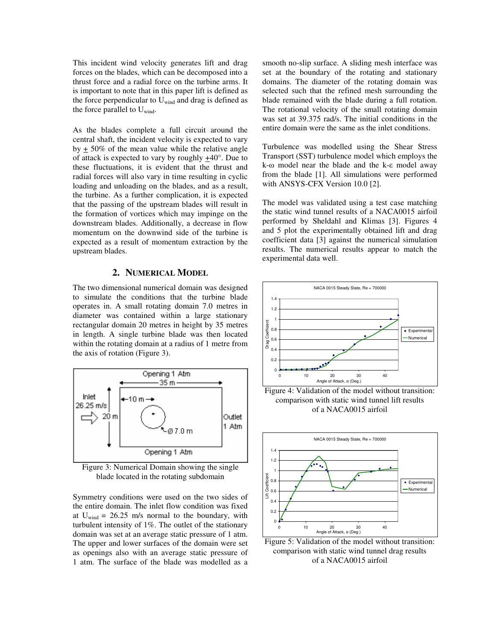This incident wind velocity generates lift and drag forces on the blades, which can be decomposed into a thrust force and a radial force on the turbine arms. It is important to note that in this paper lift is defined as the force perpendicular to  $U_{wind}$  and drag is defined as the force parallel to  $U_{wind}$ .

As the blades complete a full circuit around the central shaft, the incident velocity is expected to vary by  $\pm$  50% of the mean value while the relative angle of attack is expected to vary by roughly +40°. Due to these fluctuations, it is evident that the thrust and radial forces will also vary in time resulting in cyclic loading and unloading on the blades, and as a result, the turbine. As a further complication, it is expected that the passing of the upstream blades will result in the formation of vortices which may impinge on the downstream blades. Additionally, a decrease in flow momentum on the downwind side of the turbine is expected as a result of momentum extraction by the upstream blades.

#### **2. NUMERICAL MODEL**

The two dimensional numerical domain was designed to simulate the conditions that the turbine blade operates in. A small rotating domain 7.0 metres in diameter was contained within a large stationary rectangular domain 20 metres in height by 35 metres in length. A single turbine blade was then located within the rotating domain at a radius of 1 metre from the axis of rotation (Figure 3).



Figure 3: Numerical Domain showing the single blade located in the rotating subdomain

Symmetry conditions were used on the two sides of the entire domain. The inlet flow condition was fixed at  $U_{wind} = 26.25$  m/s normal to the boundary, with turbulent intensity of 1%. The outlet of the stationary domain was set at an average static pressure of 1 atm. The upper and lower surfaces of the domain were set as openings also with an average static pressure of 1 atm. The surface of the blade was modelled as a

smooth no-slip surface. A sliding mesh interface was set at the boundary of the rotating and stationary domains. The diameter of the rotating domain was selected such that the refined mesh surrounding the blade remained with the blade during a full rotation. The rotational velocity of the small rotating domain was set at 39.375 rad/s. The initial conditions in the entire domain were the same as the inlet conditions.

Turbulence was modelled using the Shear Stress Transport (SST) turbulence model which employs the k-ω model near the blade and the k-ε model away from the blade [1]. All simulations were performed with ANSYS-CFX Version 10.0 [2].

The model was validated using a test case matching the static wind tunnel results of a NACA0015 airfoil performed by Sheldahl and Klimas [3]. Figures 4 and 5 plot the experimentally obtained lift and drag coefficient data [3] against the numerical simulation results. The numerical results appear to match the experimental data well.



Figure 4: Validation of the model without transition: comparison with static wind tunnel lift results of a NACA0015 airfoil



Figure 5: Validation of the model without transition: comparison with static wind tunnel drag results of a NACA0015 airfoil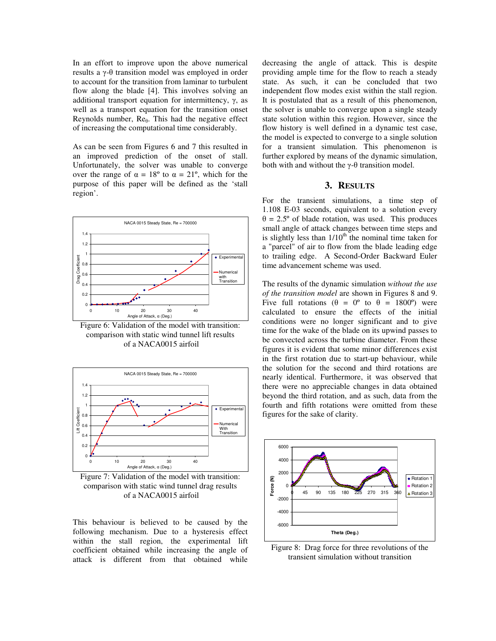In an effort to improve upon the above numerical results a γ-θ transition model was employed in order to account for the transition from laminar to turbulent flow along the blade [4]. This involves solving an additional transport equation for intermittency, γ, as well as a transport equation for the transition onset Reynolds number,  $Re_\theta$ . This had the negative effect of increasing the computational time considerably.

As can be seen from Figures 6 and 7 this resulted in an improved prediction of the onset of stall. Unfortunately, the solver was unable to converge over the range of  $\alpha = 18^{\circ}$  to  $\alpha = 21^{\circ}$ , which for the purpose of this paper will be defined as the 'stall region'.



Figure 6: Validation of the model with transition: comparison with static wind tunnel lift results of a NACA0015 airfoil



Figure 7: Validation of the model with transition: comparison with static wind tunnel drag results of a NACA0015 airfoil

This behaviour is believed to be caused by the following mechanism. Due to a hysteresis effect within the stall region, the experimental lift coefficient obtained while increasing the angle of attack is different from that obtained while

decreasing the angle of attack. This is despite providing ample time for the flow to reach a steady state. As such, it can be concluded that two independent flow modes exist within the stall region. It is postulated that as a result of this phenomenon, the solver is unable to converge upon a single steady state solution within this region. However, since the flow history is well defined in a dynamic test case, the model is expected to converge to a single solution for a transient simulation. This phenomenon is further explored by means of the dynamic simulation, both with and without the  $\gamma$ -θ transition model.

## **3. RESULTS**

For the transient simulations, a time step of 1.108 E-03 seconds, equivalent to a solution every  $\theta = 2.5^{\circ}$  of blade rotation, was used. This produces small angle of attack changes between time steps and is slightly less than  $1/10^{th}$  the nominal time taken for a "parcel" of air to flow from the blade leading edge to trailing edge. A Second-Order Backward Euler time advancement scheme was used.

The results of the dynamic simulation *without the use of the transition model* are shown in Figures 8 and 9. Five full rotations ( $\theta = 0^\circ$  to  $\theta = 1800^\circ$ ) were calculated to ensure the effects of the initial conditions were no longer significant and to give time for the wake of the blade on its upwind passes to be convected across the turbine diameter. From these figures it is evident that some minor differences exist in the first rotation due to start-up behaviour, while the solution for the second and third rotations are nearly identical. Furthermore, it was observed that there were no appreciable changes in data obtained beyond the third rotation, and as such, data from the fourth and fifth rotations were omitted from these figures for the sake of clarity.



Figure 8: Drag force for three revolutions of the transient simulation without transition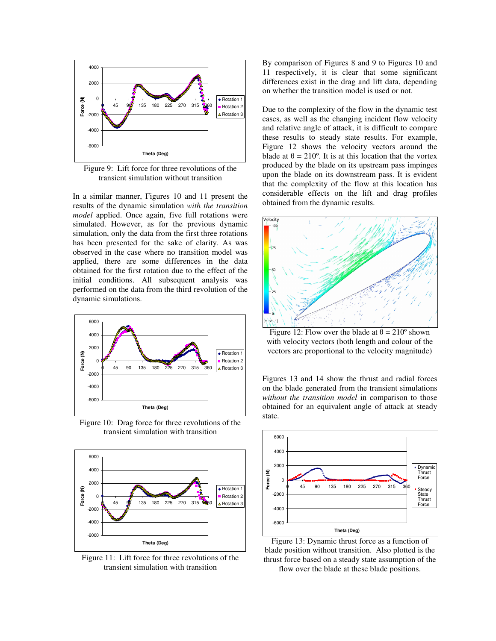

Figure 9: Lift force for three revolutions of the transient simulation without transition

In a similar manner, Figures 10 and 11 present the results of the dynamic simulation *with the transition model* applied. Once again, five full rotations were simulated. However, as for the previous dynamic simulation, only the data from the first three rotations has been presented for the sake of clarity. As was observed in the case where no transition model was applied, there are some differences in the data obtained for the first rotation due to the effect of the initial conditions. All subsequent analysis was performed on the data from the third revolution of the dynamic simulations.



Figure 10: Drag force for three revolutions of the transient simulation with transition



Figure 11: Lift force for three revolutions of the transient simulation with transition

By comparison of Figures 8 and 9 to Figures 10 and 11 respectively, it is clear that some significant differences exist in the drag and lift data, depending on whether the transition model is used or not.

Due to the complexity of the flow in the dynamic test cases, as well as the changing incident flow velocity and relative angle of attack, it is difficult to compare these results to steady state results. For example, Figure 12 shows the velocity vectors around the blade at  $\theta = 210^{\circ}$ . It is at this location that the vortex produced by the blade on its upstream pass impinges upon the blade on its downstream pass. It is evident that the complexity of the flow at this location has considerable effects on the lift and drag profiles obtained from the dynamic results.



Figure 12: Flow over the blade at  $\theta = 210^{\circ}$  shown with velocity vectors (both length and colour of the vectors are proportional to the velocity magnitude)

Figures 13 and 14 show the thrust and radial forces on the blade generated from the transient simulations *without the transition model* in comparison to those obtained for an equivalent angle of attack at steady state.



Figure 13: Dynamic thrust force as a function of blade position without transition. Also plotted is the thrust force based on a steady state assumption of the flow over the blade at these blade positions.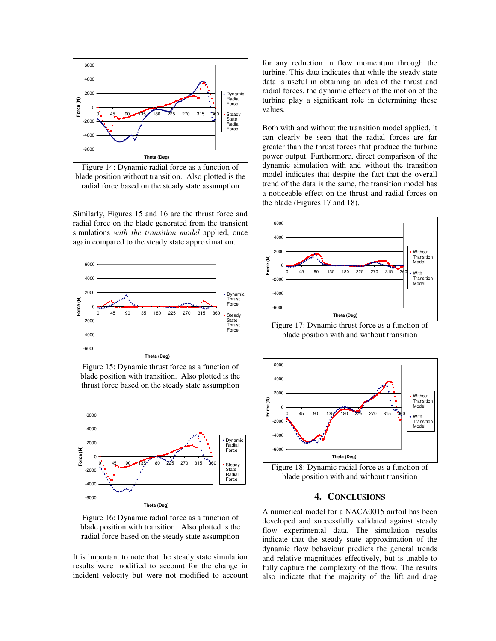

Figure 14: Dynamic radial force as a function of blade position without transition. Also plotted is the radial force based on the steady state assumption

Similarly, Figures 15 and 16 are the thrust force and radial force on the blade generated from the transient simulations *with the transition model* applied, once again compared to the steady state approximation.



Figure 15: Dynamic thrust force as a function of blade position with transition. Also plotted is the thrust force based on the steady state assumption



Figure 16: Dynamic radial force as a function of blade position with transition. Also plotted is the radial force based on the steady state assumption

It is important to note that the steady state simulation results were modified to account for the change in incident velocity but were not modified to account

for any reduction in flow momentum through the turbine. This data indicates that while the steady state data is useful in obtaining an idea of the thrust and radial forces, the dynamic effects of the motion of the turbine play a significant role in determining these values.

Both with and without the transition model applied, it can clearly be seen that the radial forces are far greater than the thrust forces that produce the turbine power output. Furthermore, direct comparison of the dynamic simulation with and without the transition model indicates that despite the fact that the overall trend of the data is the same, the transition model has a noticeable effect on the thrust and radial forces on the blade (Figures 17 and 18).



Figure 17: Dynamic thrust force as a function of blade position with and without transition



Figure 18: Dynamic radial force as a function of blade position with and without transition

# **4. CONCLUSIONS**

A numerical model for a NACA0015 airfoil has been developed and successfully validated against steady flow experimental data. The simulation results indicate that the steady state approximation of the dynamic flow behaviour predicts the general trends and relative magnitudes effectively, but is unable to fully capture the complexity of the flow. The results also indicate that the majority of the lift and drag